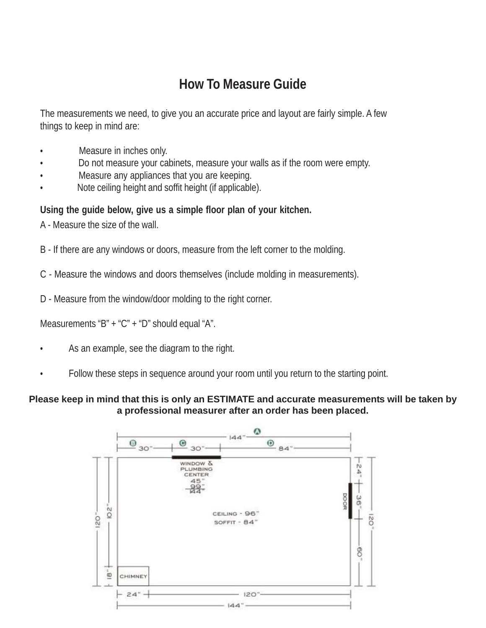## **How To Measure Guide**

The measurements we need, to give you an accurate price and layout are fairly simple. A few things to keep in mind are:

- Measure in inches only.
- Do not measure your cabinets, measure your walls as if the room were empty.
- Measure any appliances that you are keeping.
- Note ceiling height and soffit height (if applicable).

## **Using the guide below, give us a simple floor plan of your kitchen.**

A - Measure the size of the wall.

B - If there are any windows or doors, measure from the left corner to the molding.

C - Measure the windows and doors themselves (include molding in measurements).

D - Measure from the window/door molding to the right corner.

Measurements "B" + "C" + "D" should equal "A".

- As an example, see the diagram to the right.
- Follow these steps in sequence around your room until you return to the starting point.

## **Please keep in mind that this is only an ESTIMATE and accurate measurements will be taken by a professional measurer after an order has been placed.**